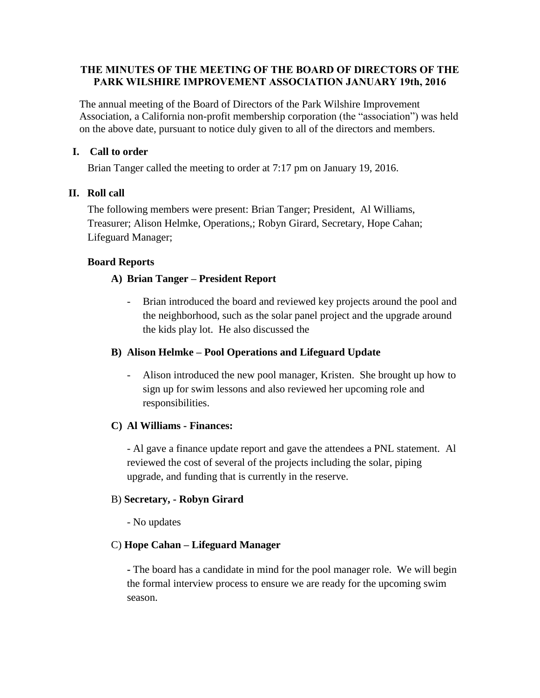## **THE MINUTES OF THE MEETING OF THE BOARD OF DIRECTORS OF THE PARK WILSHIRE IMPROVEMENT ASSOCIATION JANUARY 19th, 2016**

The annual meeting of the Board of Directors of the Park Wilshire Improvement Association, a California non-profit membership corporation (the "association") was held on the above date, pursuant to notice duly given to all of the directors and members.

## **I. Call to order**

Brian Tanger called the meeting to order at 7:17 pm on January 19, 2016.

## **II. Roll call**

The following members were present: Brian Tanger; President, Al Williams, Treasurer; Alison Helmke, Operations,; Robyn Girard, Secretary, Hope Cahan; Lifeguard Manager;

## **Board Reports**

## **A) Brian Tanger – President Report**

Brian introduced the board and reviewed key projects around the pool and the neighborhood, such as the solar panel project and the upgrade around the kids play lot. He also discussed the

## **B) Alison Helmke – Pool Operations and Lifeguard Update**

- Alison introduced the new pool manager, Kristen. She brought up how to sign up for swim lessons and also reviewed her upcoming role and responsibilities.

#### **C) Al Williams - Finances:**

- Al gave a finance update report and gave the attendees a PNL statement.Al reviewed the cost of several of the projects including the solar, piping upgrade, and funding that is currently in the reserve.

#### B) **Secretary, - Robyn Girard**

- No updates

# C) **Hope Cahan – Lifeguard Manager**

**-** The board has a candidate in mind for the pool manager role. We will begin the formal interview process to ensure we are ready for the upcoming swim season.